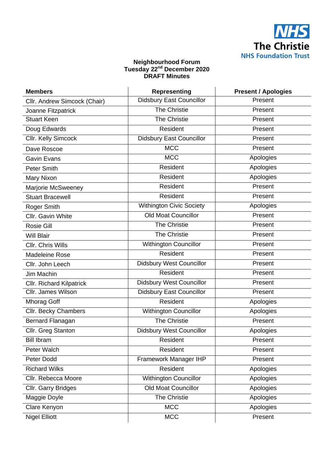

## **Neighbourhood Forum Tuesday 22nd December 2020 DRAFT Minutes**

| <b>Members</b>                  | <b>Representing</b>             | <b>Present / Apologies</b> |
|---------------------------------|---------------------------------|----------------------------|
| Cllr. Andrew Simcock (Chair)    | <b>Didsbury East Councillor</b> | Present                    |
| Joanne Fitzpatrick              | The Christie                    | Present                    |
| <b>Stuart Keen</b>              | The Christie                    | Present                    |
| Doug Edwards                    | Resident                        | Present                    |
| Cllr. Kelly Simcock             | <b>Didsbury East Councillor</b> | Present                    |
| Dave Roscoe                     | <b>MCC</b>                      | Present                    |
| <b>Gavin Evans</b>              | <b>MCC</b>                      | Apologies                  |
| Peter Smith                     | Resident                        | Apologies                  |
| Mary Nixon                      | Resident                        | Apologies                  |
| Marjorie McSweeney              | Resident                        | Present                    |
| <b>Stuart Bracewell</b>         | Resident                        | Present                    |
| Roger Smith                     | <b>Withington Civic Society</b> | Apologies                  |
| Cllr. Gavin White               | <b>Old Moat Councillor</b>      | Present                    |
| Rosie Gill                      | <b>The Christie</b>             | Present                    |
| <b>Will Blair</b>               | The Christie                    | Present                    |
| <b>CIIr. Chris Wills</b>        | <b>Withington Councillor</b>    | Present                    |
| <b>Madeleine Rose</b>           | Resident                        | Present                    |
| Cllr. John Leech                | Didsbury West Councillor        | Present                    |
| Jim Machin                      | Resident                        | Present                    |
| <b>Cllr. Richard Kilpatrick</b> | Didsbury West Councillor        | Present                    |
| Cllr. James Wilson              | <b>Didsbury East Councillor</b> | Present                    |
| <b>Mhorag Goff</b>              | Resident                        | Apologies                  |
| Cllr. Becky Chambers            | <b>Withington Councillor</b>    | Apologies                  |
| Bernard Flanagan                | <b>The Christie</b>             | Present                    |
| Cllr. Greg Stanton              | <b>Didsbury West Councillor</b> | Apologies                  |
| <b>Bill Ibram</b>               | Resident                        | Present                    |
| Peter Walch                     | Resident                        | Present                    |
| Peter Dodd                      | Framework Manager IHP           | Present                    |
| <b>Richard Wilks</b>            | Resident                        | Apologies                  |
| Cllr. Rebecca Moore             | <b>Withington Councillor</b>    | Apologies                  |
| Cllr. Garry Bridges             | <b>Old Moat Councillor</b>      | Apologies                  |
| Maggie Doyle                    | The Christie                    | Apologies                  |
| Clare Kenyon                    | <b>MCC</b>                      | Apologies                  |
| <b>Nigel Elliott</b>            | <b>MCC</b>                      | Present                    |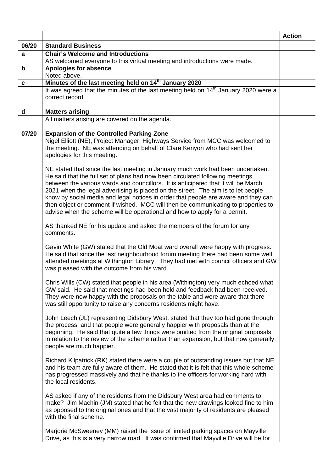|              |                                                                                                                                                                                                                                                                                                                                                                                                                                                                                                                  | <b>Action</b> |
|--------------|------------------------------------------------------------------------------------------------------------------------------------------------------------------------------------------------------------------------------------------------------------------------------------------------------------------------------------------------------------------------------------------------------------------------------------------------------------------------------------------------------------------|---------------|
| 06/20        | <b>Standard Business</b>                                                                                                                                                                                                                                                                                                                                                                                                                                                                                         |               |
| a            | <b>Chair's Welcome and Introductions</b><br>AS welcomed everyone to this virtual meeting and introductions were made.                                                                                                                                                                                                                                                                                                                                                                                            |               |
| $\mathbf b$  | <b>Apologies for absence</b>                                                                                                                                                                                                                                                                                                                                                                                                                                                                                     |               |
|              | Noted above.                                                                                                                                                                                                                                                                                                                                                                                                                                                                                                     |               |
| $\mathbf c$  | Minutes of the last meeting held on 14 <sup>th</sup> January 2020                                                                                                                                                                                                                                                                                                                                                                                                                                                |               |
|              | It was agreed that the minutes of the last meeting held on 14 <sup>th</sup> January 2020 were a<br>correct record.                                                                                                                                                                                                                                                                                                                                                                                               |               |
| $\mathsf{d}$ | <b>Matters arising</b>                                                                                                                                                                                                                                                                                                                                                                                                                                                                                           |               |
|              | All matters arising are covered on the agenda.                                                                                                                                                                                                                                                                                                                                                                                                                                                                   |               |
| 07/20        | <b>Expansion of the Controlled Parking Zone</b>                                                                                                                                                                                                                                                                                                                                                                                                                                                                  |               |
|              | Nigel Elliott (NE), Project Manager, Highways Service from MCC was welcomed to<br>the meeting. NE was attending on behalf of Clare Kenyon who had sent her<br>apologies for this meeting.<br>NE stated that since the last meeting in January much work had been undertaken.                                                                                                                                                                                                                                     |               |
|              | He said that the full set of plans had now been circulated following meetings<br>between the various wards and councillors. It is anticipated that it will be March<br>2021 when the legal advertising is placed on the street. The aim is to let people<br>know by social media and legal notices in order that people are aware and they can<br>then object or comment if wished. MCC will then be communicating to properties to<br>advise when the scheme will be operational and how to apply for a permit. |               |
|              | AS thanked NE for his update and asked the members of the forum for any<br>comments.                                                                                                                                                                                                                                                                                                                                                                                                                             |               |
|              | Gavin White (GW) stated that the Old Moat ward overall were happy with progress.<br>He said that since the last neighbourhood forum meeting there had been some well<br>attended meetings at Withington Library. They had met with council officers and GW<br>was pleased with the outcome from his ward.                                                                                                                                                                                                        |               |
|              | Chris Wills (CW) stated that people in his area (Withington) very much echoed what<br>GW said. He said that meetings had been held and feedback had been received.<br>They were now happy with the proposals on the table and were aware that there<br>was still opportunity to raise any concerns residents might have.                                                                                                                                                                                         |               |
|              | John Leech (JL) representing Didsbury West, stated that they too had gone through<br>the process, and that people were generally happier with proposals than at the<br>beginning. He said that quite a few things were omitted from the original proposals<br>in relation to the review of the scheme rather than expansion, but that now generally<br>people are much happier.                                                                                                                                  |               |
|              | Richard Kilpatrick (RK) stated there were a couple of outstanding issues but that NE<br>and his team are fully aware of them. He stated that it is felt that this whole scheme<br>has progressed massively and that he thanks to the officers for working hard with<br>the local residents.                                                                                                                                                                                                                      |               |
|              | AS asked if any of the residents from the Didsbury West area had comments to<br>make? Jim Machin (JM) stated that he felt that the new drawings looked fine to him<br>as opposed to the original ones and that the vast majority of residents are pleased<br>with the final scheme.                                                                                                                                                                                                                              |               |
|              | Marjorie McSweeney (MM) raised the issue of limited parking spaces on Mayville<br>Drive, as this is a very narrow road. It was confirmed that Mayville Drive will be for                                                                                                                                                                                                                                                                                                                                         |               |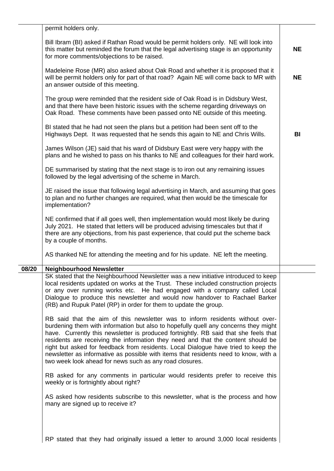|       | permit holders only.                                                                                                                                                                                                                                                                                                                                                                                                                                                                                                                                                                      |           |
|-------|-------------------------------------------------------------------------------------------------------------------------------------------------------------------------------------------------------------------------------------------------------------------------------------------------------------------------------------------------------------------------------------------------------------------------------------------------------------------------------------------------------------------------------------------------------------------------------------------|-----------|
|       | Bill Ibram (BI) asked if Rathan Road would be permit holders only. NE will look into<br>this matter but reminded the forum that the legal advertising stage is an opportunity<br>for more comments/objections to be raised.                                                                                                                                                                                                                                                                                                                                                               | <b>NE</b> |
|       | Madeleine Rose (MR) also asked about Oak Road and whether it is proposed that it<br>will be permit holders only for part of that road? Again NE will come back to MR with<br>an answer outside of this meeting.                                                                                                                                                                                                                                                                                                                                                                           | <b>NE</b> |
|       | The group were reminded that the resident side of Oak Road is in Didsbury West,<br>and that there have been historic issues with the scheme regarding driveways on<br>Oak Road. These comments have been passed onto NE outside of this meeting.                                                                                                                                                                                                                                                                                                                                          |           |
|       | BI stated that he had not seen the plans but a petition had been sent off to the<br>Highways Dept. It was requested that he sends this again to NE and Chris Wills.                                                                                                                                                                                                                                                                                                                                                                                                                       | BI        |
|       | James Wilson (JE) said that his ward of Didsbury East were very happy with the<br>plans and he wished to pass on his thanks to NE and colleagues for their hard work.                                                                                                                                                                                                                                                                                                                                                                                                                     |           |
|       | DE summarised by stating that the next stage is to iron out any remaining issues<br>followed by the legal advertising of the scheme in March.                                                                                                                                                                                                                                                                                                                                                                                                                                             |           |
|       | JE raised the issue that following legal advertising in March, and assuming that goes<br>to plan and no further changes are required, what then would be the timescale for<br>implementation?                                                                                                                                                                                                                                                                                                                                                                                             |           |
|       | NE confirmed that if all goes well, then implementation would most likely be during<br>July 2021. He stated that letters will be produced advising timescales but that if<br>there are any objections, from his past experience, that could put the scheme back<br>by a couple of months.                                                                                                                                                                                                                                                                                                 |           |
|       | AS thanked NE for attending the meeting and for his update. NE left the meeting.                                                                                                                                                                                                                                                                                                                                                                                                                                                                                                          |           |
| 08/20 | <b>Neighbourhood Newsletter</b>                                                                                                                                                                                                                                                                                                                                                                                                                                                                                                                                                           |           |
|       | SK stated that the Neighbourhood Newsletter was a new initiative introduced to keep<br>local residents updated on works at the Trust. These included construction projects<br>or any over running works etc. He had engaged with a company called Local<br>Dialogue to produce this newsletter and would now handover to Rachael Barker<br>(RB) and Rupuk Patel (RP) in order for them to update the group.                                                                                                                                                                               |           |
|       | RB said that the aim of this newsletter was to inform residents without over-<br>burdening them with information but also to hopefully quell any concerns they might<br>have. Currently this newsletter is produced fortnightly. RB said that she feels that<br>residents are receiving the information they need and that the content should be<br>right but asked for feedback from residents. Local Dialogue have tried to keep the<br>newsletter as informative as possible with items that residents need to know, with a<br>two week look ahead for news such as any road closures. |           |
|       | RB asked for any comments in particular would residents prefer to receive this<br>weekly or is fortnightly about right?                                                                                                                                                                                                                                                                                                                                                                                                                                                                   |           |
|       | AS asked how residents subscribe to this newsletter, what is the process and how<br>many are signed up to receive it?                                                                                                                                                                                                                                                                                                                                                                                                                                                                     |           |
|       |                                                                                                                                                                                                                                                                                                                                                                                                                                                                                                                                                                                           |           |
|       | RP stated that they had originally issued a letter to around 3,000 local residents                                                                                                                                                                                                                                                                                                                                                                                                                                                                                                        |           |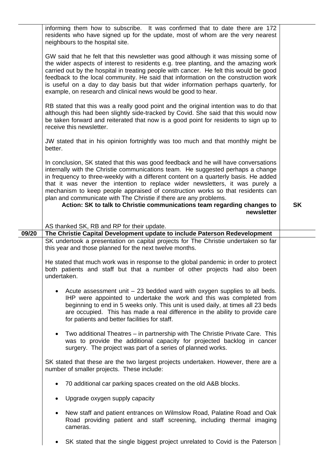| informing them how to subscribe. It was confirmed that to date there are 172<br>residents who have signed up for the update, most of whom are the very nearest                                                                                                                                                                                                                                                                                                                                                            |
|---------------------------------------------------------------------------------------------------------------------------------------------------------------------------------------------------------------------------------------------------------------------------------------------------------------------------------------------------------------------------------------------------------------------------------------------------------------------------------------------------------------------------|
| GW said that he felt that this newsletter was good although it was missing some of<br>the wider aspects of interest to residents e.g. tree planting, and the amazing work<br>carried out by the hospital in treating people with cancer. He felt this would be good<br>feedback to the local community. He said that information on the construction work<br>is useful on a day to day basis but that wider information perhaps quarterly, for                                                                            |
| RB stated that this was a really good point and the original intention was to do that<br>although this had been slightly side-tracked by Covid. She said that this would now<br>be taken forward and reiterated that now is a good point for residents to sign up to                                                                                                                                                                                                                                                      |
| JW stated that in his opinion fortnightly was too much and that monthly might be                                                                                                                                                                                                                                                                                                                                                                                                                                          |
| In conclusion, SK stated that this was good feedback and he will have conversations<br>internally with the Christie communications team. He suggested perhaps a change<br>in frequency to three-weekly with a different content on a quarterly basis. He added<br>that it was never the intention to replace wider newsletters, it was purely a<br>mechanism to keep people appraised of construction works so that residents can<br>Action: SK to talk to Christie communications team regarding changes to<br><b>SK</b> |
| newsletter                                                                                                                                                                                                                                                                                                                                                                                                                                                                                                                |
|                                                                                                                                                                                                                                                                                                                                                                                                                                                                                                                           |
|                                                                                                                                                                                                                                                                                                                                                                                                                                                                                                                           |
| The Christie Capital Development update to include Paterson Redevelopment                                                                                                                                                                                                                                                                                                                                                                                                                                                 |
| SK undertook a presentation on capital projects for The Christie undertaken so far                                                                                                                                                                                                                                                                                                                                                                                                                                        |
| He stated that much work was in response to the global pandemic in order to protect<br>both patients and staff but that a number of other projects had also been                                                                                                                                                                                                                                                                                                                                                          |
| Acute assessment unit $-23$ bedded ward with oxygen supplies to all beds.<br>IHP were appointed to undertake the work and this was completed from<br>beginning to end in 5 weeks only. This unit is used daily, at times all 23 beds<br>are occupied. This has made a real difference in the ability to provide care                                                                                                                                                                                                      |
| Two additional Theatres - in partnership with The Christie Private Care. This<br>was to provide the additional capacity for projected backlog in cancer                                                                                                                                                                                                                                                                                                                                                                   |
| SK stated that these are the two largest projects undertaken. However, there are a                                                                                                                                                                                                                                                                                                                                                                                                                                        |
|                                                                                                                                                                                                                                                                                                                                                                                                                                                                                                                           |
|                                                                                                                                                                                                                                                                                                                                                                                                                                                                                                                           |
| New staff and patient entrances on Wilmslow Road, Palatine Road and Oak<br>Road providing patient and staff screening, including thermal imaging                                                                                                                                                                                                                                                                                                                                                                          |
|                                                                                                                                                                                                                                                                                                                                                                                                                                                                                                                           |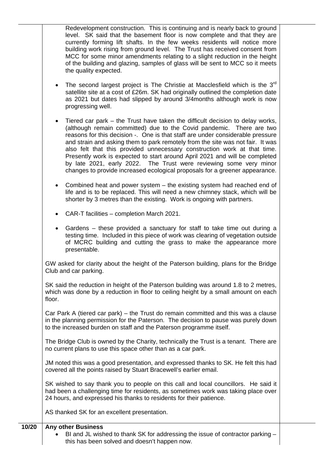Redevelopment construction. This is continuing and is nearly back to ground level. SK said that the basement floor is now complete and that they are currently forming lift shafts. In the few weeks residents will notice more building work rising from ground level. The Trust has received consent from MCC for some minor amendments relating to a slight reduction in the height of the building and glazing, samples of glass will be sent to MCC so it meets the quality expected.

- The second largest project is The Christie at Macclesfield which is the  $3<sup>rd</sup>$ satellite site at a cost of £26m. SK had originally outlined the completion date as 2021 but dates had slipped by around 3/4months although work is now progressing well.
- Tiered car park the Trust have taken the difficult decision to delay works, (although remain committed) due to the Covid pandemic. There are two reasons for this decision -. One is that staff are under considerable pressure and strain and asking them to park remotely from the site was not fair. It was also felt that this provided unnecessary construction work at that time. Presently work is expected to start around April 2021 and will be completed by late 2021, early 2022. The Trust were reviewing some very minor changes to provide increased ecological proposals for a greener appearance.
- Combined heat and power system the existing system had reached end of life and is to be replaced. This will need a new chimney stack, which will be shorter by 3 metres than the existing. Work is ongoing with partners.
- CAR-T facilities completion March 2021.
- Gardens these provided a sanctuary for staff to take time out during a testing time. Included in this piece of work was clearing of vegetation outside of MCRC building and cutting the grass to make the appearance more presentable.

GW asked for clarity about the height of the Paterson building, plans for the Bridge Club and car parking.

SK said the reduction in height of the Paterson building was around 1.8 to 2 metres, which was done by a reduction in floor to ceiling height by a small amount on each floor

Car Park A (tiered car park) – the Trust do remain committed and this was a clause in the planning permission for the Paterson. The decision to pause was purely down to the increased burden on staff and the Paterson programme itself.

The Bridge Club is owned by the Charity, technically the Trust is a tenant. There are no current plans to use this space other than as a car park.

JM noted this was a good presentation, and expressed thanks to SK. He felt this had covered all the points raised by Stuart Bracewell's earlier email.

SK wished to say thank you to people on this call and local councillors. He said it had been a challenging time for residents, as sometimes work was taking place over 24 hours, and expressed his thanks to residents for their patience.

AS thanked SK for an excellent presentation.

## **10/20 Any other Business**

• BI and JL wished to thank SK for addressing the issue of contractor parking – this has been solved and doesn't happen now.